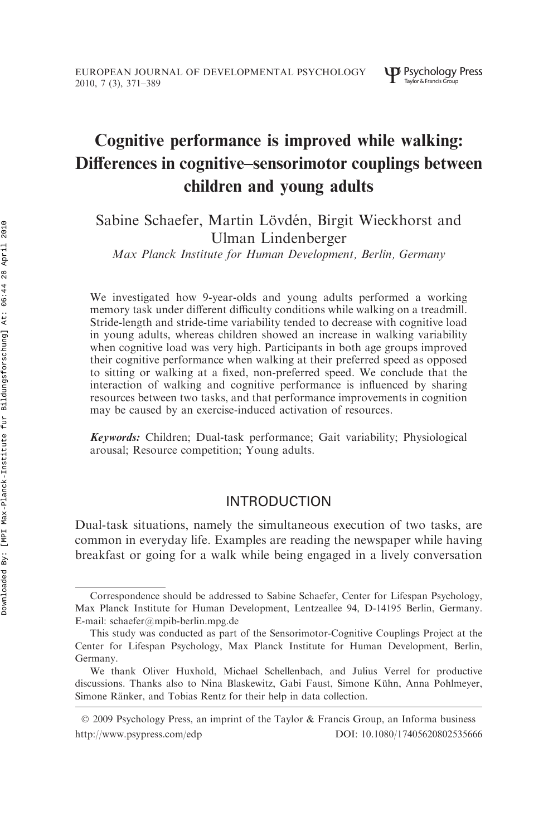# Cognitive performance is improved while walking: Differences in cognitive–sensorimotor couplings between children and young adults

Sabine Schaefer, Martin Lövdén, Birgit Wieckhorst and Ulman Lindenberger

Max Planck Institute for Human Development, Berlin, Germany

We investigated how 9-year-olds and young adults performed a working memory task under different difficulty conditions while walking on a treadmill. Stride-length and stride-time variability tended to decrease with cognitive load in young adults, whereas children showed an increase in walking variability when cognitive load was very high. Participants in both age groups improved their cognitive performance when walking at their preferred speed as opposed to sitting or walking at a fixed, non-preferred speed. We conclude that the interaction of walking and cognitive performance is influenced by sharing resources between two tasks, and that performance improvements in cognition may be caused by an exercise-induced activation of resources.

Keywords: Children; Dual-task performance; Gait variability; Physiological arousal; Resource competition; Young adults.

# INTRODUCTION

Dual-task situations, namely the simultaneous execution of two tasks, are common in everyday life. Examples are reading the newspaper while having breakfast or going for a walk while being engaged in a lively conversation

Correspondence should be addressed to Sabine Schaefer, Center for Lifespan Psychology, Max Planck Institute for Human Development, Lentzeallee 94, D-14195 Berlin, Germany. E-mail: schaefer@mpib-berlin.mpg.de

This study was conducted as part of the Sensorimotor-Cognitive Couplings Project at the Center for Lifespan Psychology, Max Planck Institute for Human Development, Berlin, Germany.

We thank Oliver Huxhold, Michael Schellenbach, and Julius Verrel for productive discussions. Thanks also to Nina Blaskewitz, Gabi Faust, Simone Kühn, Anna Pohlmeyer, Simone Ränker, and Tobias Rentz for their help in data collection.

<sup>© 2009</sup> Psychology Press, an imprint of the Taylor & Francis Group, an Informa business http://www.psypress.com/edp DOI: 10.1080/17405620802535666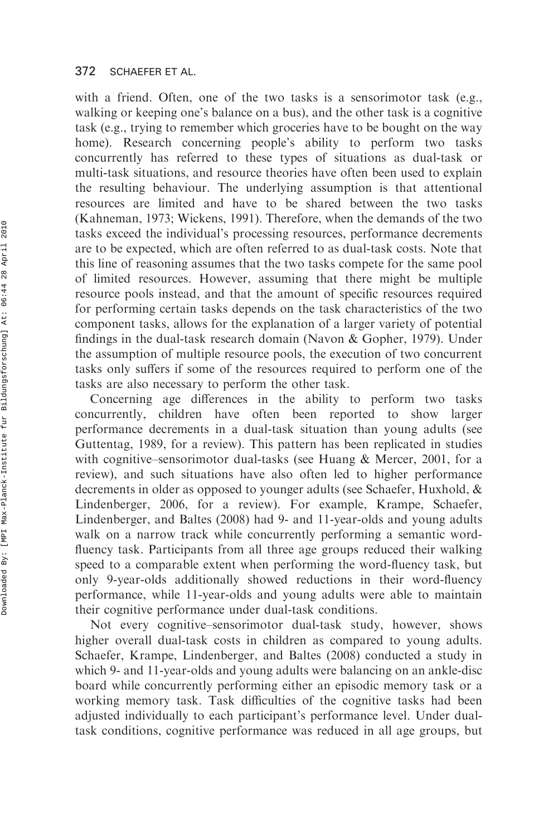#### 372 SCHAEFER ET AL.

with a friend. Often, one of the two tasks is a sensorimotor task (e.g., walking or keeping one's balance on a bus), and the other task is a cognitive task (e.g., trying to remember which groceries have to be bought on the way home). Research concerning people's ability to perform two tasks concurrently has referred to these types of situations as dual-task or multi-task situations, and resource theories have often been used to explain the resulting behaviour. The underlying assumption is that attentional resources are limited and have to be shared between the two tasks (Kahneman, 1973; Wickens, 1991). Therefore, when the demands of the two tasks exceed the individual's processing resources, performance decrements are to be expected, which are often referred to as dual-task costs. Note that this line of reasoning assumes that the two tasks compete for the same pool of limited resources. However, assuming that there might be multiple resource pools instead, and that the amount of specific resources required for performing certain tasks depends on the task characteristics of the two component tasks, allows for the explanation of a larger variety of potential findings in the dual-task research domain (Navon & Gopher, 1979). Under the assumption of multiple resource pools, the execution of two concurrent tasks only suffers if some of the resources required to perform one of the tasks are also necessary to perform the other task.

Concerning age differences in the ability to perform two tasks concurrently, children have often been reported to show larger performance decrements in a dual-task situation than young adults (see Guttentag, 1989, for a review). This pattern has been replicated in studies with cognitive–sensorimotor dual-tasks (see Huang & Mercer, 2001, for a review), and such situations have also often led to higher performance decrements in older as opposed to younger adults (see Schaefer, Huxhold, & Lindenberger, 2006, for a review). For example, Krampe, Schaefer, Lindenberger, and Baltes (2008) had 9- and 11-year-olds and young adults walk on a narrow track while concurrently performing a semantic wordfluency task. Participants from all three age groups reduced their walking speed to a comparable extent when performing the word-fluency task, but only 9-year-olds additionally showed reductions in their word-fluency performance, while 11-year-olds and young adults were able to maintain their cognitive performance under dual-task conditions.

Not every cognitive–sensorimotor dual-task study, however, shows higher overall dual-task costs in children as compared to young adults. Schaefer, Krampe, Lindenberger, and Baltes (2008) conducted a study in which 9- and 11-year-olds and young adults were balancing on an ankle-disc board while concurrently performing either an episodic memory task or a working memory task. Task difficulties of the cognitive tasks had been adjusted individually to each participant's performance level. Under dualtask conditions, cognitive performance was reduced in all age groups, but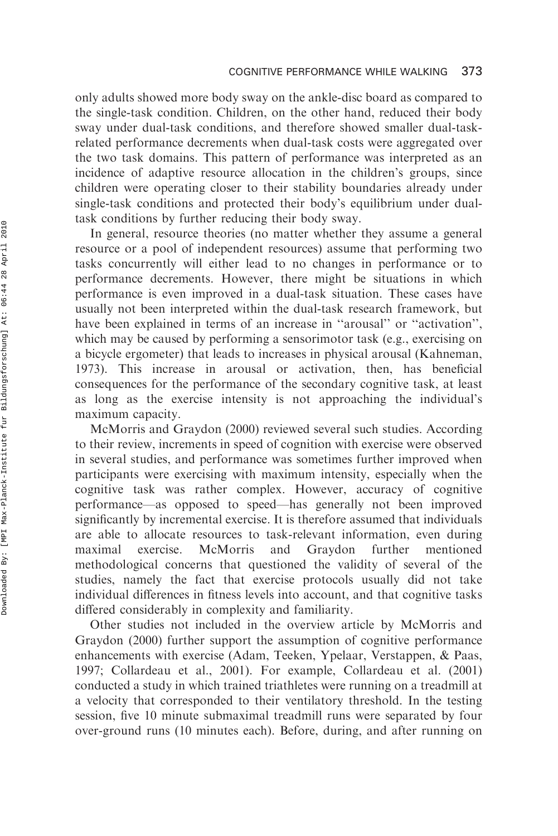only adults showed more body sway on the ankle-disc board as compared to the single-task condition. Children, on the other hand, reduced their body sway under dual-task conditions, and therefore showed smaller dual-taskrelated performance decrements when dual-task costs were aggregated over the two task domains. This pattern of performance was interpreted as an incidence of adaptive resource allocation in the children's groups, since children were operating closer to their stability boundaries already under single-task conditions and protected their body's equilibrium under dualtask conditions by further reducing their body sway.

In general, resource theories (no matter whether they assume a general resource or a pool of independent resources) assume that performing two tasks concurrently will either lead to no changes in performance or to performance decrements. However, there might be situations in which performance is even improved in a dual-task situation. These cases have usually not been interpreted within the dual-task research framework, but have been explained in terms of an increase in "arousal" or "activation", which may be caused by performing a sensorimotor task (e.g., exercising on a bicycle ergometer) that leads to increases in physical arousal (Kahneman, 1973). This increase in arousal or activation, then, has beneficial consequences for the performance of the secondary cognitive task, at least as long as the exercise intensity is not approaching the individual's maximum capacity.

McMorris and Graydon (2000) reviewed several such studies. According to their review, increments in speed of cognition with exercise were observed in several studies, and performance was sometimes further improved when participants were exercising with maximum intensity, especially when the cognitive task was rather complex. However, accuracy of cognitive performance—as opposed to speed—has generally not been improved significantly by incremental exercise. It is therefore assumed that individuals are able to allocate resources to task-relevant information, even during maximal exercise. McMorris and Graydon further mentioned methodological concerns that questioned the validity of several of the studies, namely the fact that exercise protocols usually did not take individual differences in fitness levels into account, and that cognitive tasks differed considerably in complexity and familiarity.

Other studies not included in the overview article by McMorris and Graydon (2000) further support the assumption of cognitive performance enhancements with exercise (Adam, Teeken, Ypelaar, Verstappen, & Paas, 1997; Collardeau et al., 2001). For example, Collardeau et al. (2001) conducted a study in which trained triathletes were running on a treadmill at a velocity that corresponded to their ventilatory threshold. In the testing session, five 10 minute submaximal treadmill runs were separated by four over-ground runs (10 minutes each). Before, during, and after running on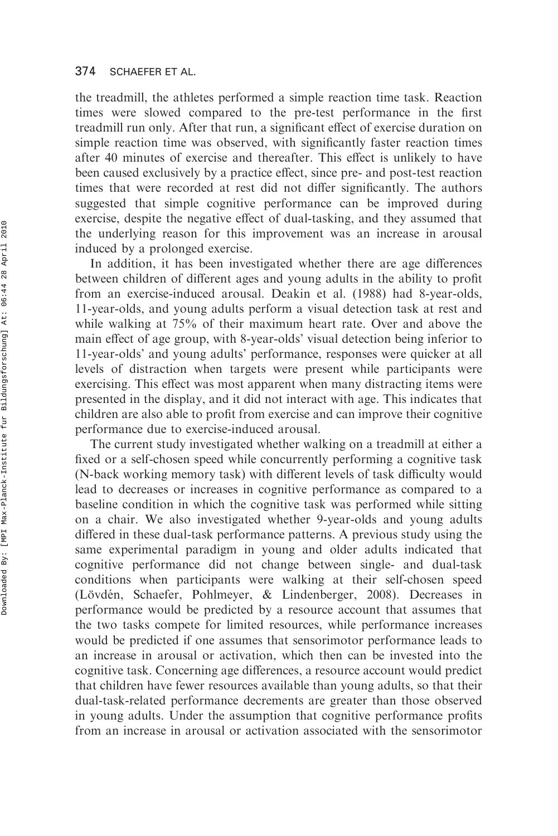#### 374 SCHAEFER ET AL.

the treadmill, the athletes performed a simple reaction time task. Reaction times were slowed compared to the pre-test performance in the first treadmill run only. After that run, a significant effect of exercise duration on simple reaction time was observed, with significantly faster reaction times after 40 minutes of exercise and thereafter. This effect is unlikely to have been caused exclusively by a practice effect, since pre- and post-test reaction times that were recorded at rest did not differ significantly. The authors suggested that simple cognitive performance can be improved during exercise, despite the negative effect of dual-tasking, and they assumed that the underlying reason for this improvement was an increase in arousal induced by a prolonged exercise.

In addition, it has been investigated whether there are age differences between children of different ages and young adults in the ability to profit from an exercise-induced arousal. Deakin et al. (1988) had 8-year-olds, 11-year-olds, and young adults perform a visual detection task at rest and while walking at 75% of their maximum heart rate. Over and above the main effect of age group, with 8-year-olds' visual detection being inferior to 11-year-olds' and young adults' performance, responses were quicker at all levels of distraction when targets were present while participants were exercising. This effect was most apparent when many distracting items were presented in the display, and it did not interact with age. This indicates that children are also able to profit from exercise and can improve their cognitive performance due to exercise-induced arousal.

The current study investigated whether walking on a treadmill at either a fixed or a self-chosen speed while concurrently performing a cognitive task (N-back working memory task) with different levels of task difficulty would lead to decreases or increases in cognitive performance as compared to a baseline condition in which the cognitive task was performed while sitting on a chair. We also investigated whether 9-year-olds and young adults differed in these dual-task performance patterns. A previous study using the same experimental paradigm in young and older adults indicated that cognitive performance did not change between single- and dual-task conditions when participants were walking at their self-chosen speed (Lövdén, Schaefer, Pohlmeyer, & Lindenberger, 2008). Decreases in performance would be predicted by a resource account that assumes that the two tasks compete for limited resources, while performance increases would be predicted if one assumes that sensorimotor performance leads to an increase in arousal or activation, which then can be invested into the cognitive task. Concerning age differences, a resource account would predict that children have fewer resources available than young adults, so that their dual-task-related performance decrements are greater than those observed in young adults. Under the assumption that cognitive performance profits from an increase in arousal or activation associated with the sensorimotor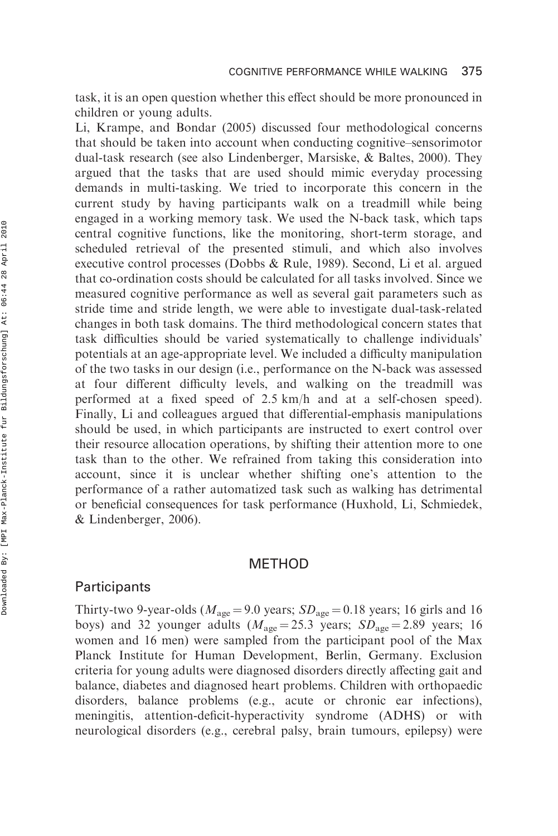task, it is an open question whether this effect should be more pronounced in children or young adults.

Li, Krampe, and Bondar (2005) discussed four methodological concerns that should be taken into account when conducting cognitive–sensorimotor dual-task research (see also Lindenberger, Marsiske, & Baltes, 2000). They argued that the tasks that are used should mimic everyday processing demands in multi-tasking. We tried to incorporate this concern in the current study by having participants walk on a treadmill while being engaged in a working memory task. We used the N-back task, which taps central cognitive functions, like the monitoring, short-term storage, and scheduled retrieval of the presented stimuli, and which also involves executive control processes (Dobbs & Rule, 1989). Second, Li et al. argued that co-ordination costs should be calculated for all tasks involved. Since we measured cognitive performance as well as several gait parameters such as stride time and stride length, we were able to investigate dual-task-related changes in both task domains. The third methodological concern states that task difficulties should be varied systematically to challenge individuals' potentials at an age-appropriate level. We included a difficulty manipulation of the two tasks in our design (i.e., performance on the N-back was assessed at four different difficulty levels, and walking on the treadmill was performed at a fixed speed of 2.5 km/h and at a self-chosen speed). Finally, Li and colleagues argued that differential-emphasis manipulations should be used, in which participants are instructed to exert control over their resource allocation operations, by shifting their attention more to one task than to the other. We refrained from taking this consideration into account, since it is unclear whether shifting one's attention to the performance of a rather automatized task such as walking has detrimental or beneficial consequences for task performance (Huxhold, Li, Schmiedek, & Lindenberger, 2006).

## METHOD

#### **Participants**

Thirty-two 9-year-olds ( $M_{\text{age}} = 9.0$  years;  $SD_{\text{age}} = 0.18$  years; 16 girls and 16 boys) and 32 younger adults ( $M_{\text{age}} = 25.3$  years;  $SD_{\text{age}} = 2.89$  years; 16 women and 16 men) were sampled from the participant pool of the Max Planck Institute for Human Development, Berlin, Germany. Exclusion criteria for young adults were diagnosed disorders directly affecting gait and balance, diabetes and diagnosed heart problems. Children with orthopaedic disorders, balance problems (e.g., acute or chronic ear infections), meningitis, attention-deficit-hyperactivity syndrome (ADHS) or with neurological disorders (e.g., cerebral palsy, brain tumours, epilepsy) were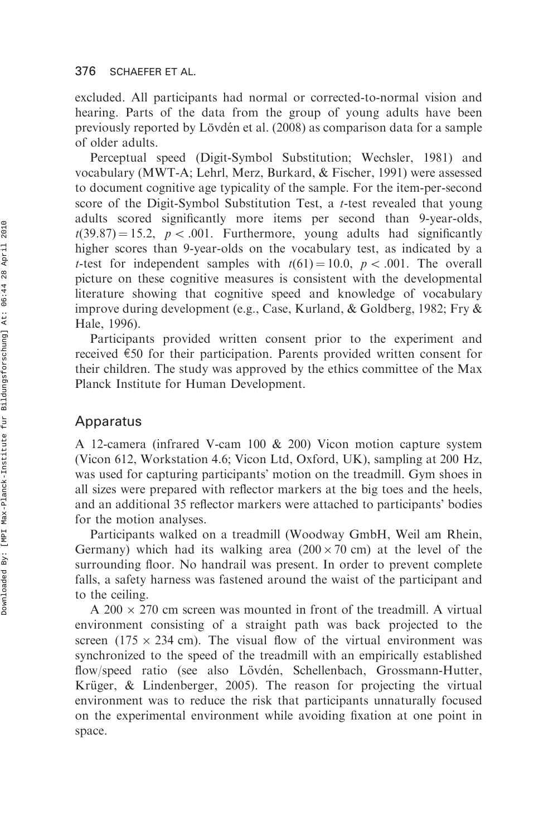excluded. All participants had normal or corrected-to-normal vision and hearing. Parts of the data from the group of young adults have been previously reported by Lövdén et al. (2008) as comparison data for a sample of older adults.

Perceptual speed (Digit-Symbol Substitution; Wechsler, 1981) and vocabulary (MWT-A; Lehrl, Merz, Burkard, & Fischer, 1991) were assessed to document cognitive age typicality of the sample. For the item-per-second score of the Digit-Symbol Substitution Test, a t-test revealed that young adults scored significantly more items per second than 9-year-olds,  $t(39.87) = 15.2$ ,  $p < .001$ . Furthermore, young adults had significantly higher scores than 9-year-olds on the vocabulary test, as indicated by a t-test for independent samples with  $t(61) = 10.0$ ,  $p < .001$ . The overall picture on these cognitive measures is consistent with the developmental literature showing that cognitive speed and knowledge of vocabulary improve during development (e.g., Case, Kurland, & Goldberg, 1982; Fry & Hale, 1996).

Participants provided written consent prior to the experiment and received  $\epsilon$ 50 for their participation. Parents provided written consent for their children. The study was approved by the ethics committee of the Max Planck Institute for Human Development.

#### Apparatus

A 12-camera (infrared V-cam 100 & 200) Vicon motion capture system (Vicon 612, Workstation 4.6; Vicon Ltd, Oxford, UK), sampling at 200 Hz, was used for capturing participants' motion on the treadmill. Gym shoes in all sizes were prepared with reflector markers at the big toes and the heels, and an additional 35 reflector markers were attached to participants' bodies for the motion analyses.

Participants walked on a treadmill (Woodway GmbH, Weil am Rhein, Germany) which had its walking area  $(200 \times 70 \text{ cm})$  at the level of the surrounding floor. No handrail was present. In order to prevent complete falls, a safety harness was fastened around the waist of the participant and to the ceiling.

A 200  $\times$  270 cm screen was mounted in front of the treadmill. A virtual environment consisting of a straight path was back projected to the screen (175  $\times$  234 cm). The visual flow of the virtual environment was synchronized to the speed of the treadmill with an empirically established flow/speed ratio (see also Lövdén, Schellenbach, Grossmann-Hutter, Krüger,  $\&$  Lindenberger, 2005). The reason for projecting the virtual environment was to reduce the risk that participants unnaturally focused on the experimental environment while avoiding fixation at one point in space.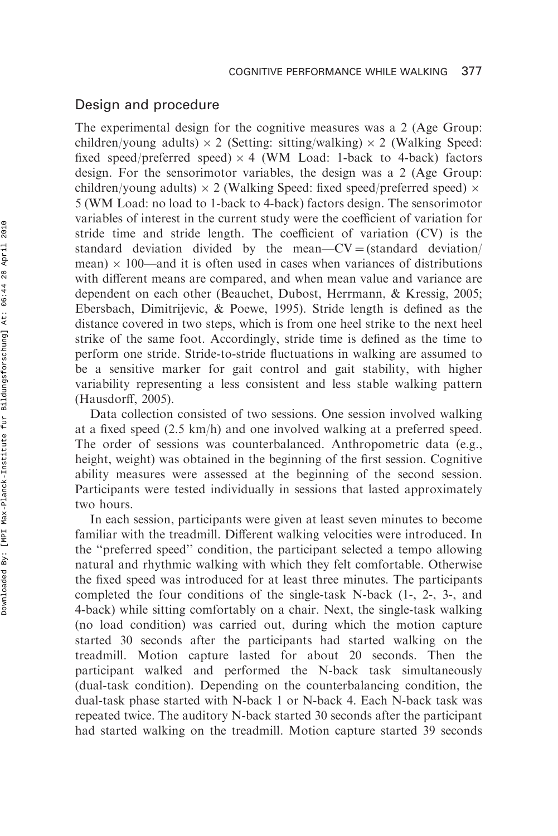#### Design and procedure

The experimental design for the cognitive measures was a 2 (Age Group: children/young adults)  $\times$  2 (Setting: sitting/walking)  $\times$  2 (Walking Speed: fixed speed/preferred speed)  $\times$  4 (WM Load: 1-back to 4-back) factors design. For the sensorimotor variables, the design was a 2 (Age Group: children/young adults)  $\times$  2 (Walking Speed: fixed speed/preferred speed)  $\times$ 5 (WM Load: no load to 1-back to 4-back) factors design. The sensorimotor variables of interest in the current study were the coefficient of variation for stride time and stride length. The coefficient of variation (CV) is the standard deviation divided by the mean— $CV = (standard deviation/$ mean)  $\times$  100—and it is often used in cases when variances of distributions with different means are compared, and when mean value and variance are dependent on each other (Beauchet, Dubost, Herrmann, & Kressig, 2005; Ebersbach, Dimitrijevic, & Poewe, 1995). Stride length is defined as the distance covered in two steps, which is from one heel strike to the next heel strike of the same foot. Accordingly, stride time is defined as the time to perform one stride. Stride-to-stride fluctuations in walking are assumed to be a sensitive marker for gait control and gait stability, with higher variability representing a less consistent and less stable walking pattern (Hausdorff, 2005).

Data collection consisted of two sessions. One session involved walking at a fixed speed (2.5 km/h) and one involved walking at a preferred speed. The order of sessions was counterbalanced. Anthropometric data (e.g., height, weight) was obtained in the beginning of the first session. Cognitive ability measures were assessed at the beginning of the second session. Participants were tested individually in sessions that lasted approximately two hours.

In each session, participants were given at least seven minutes to become familiar with the treadmill. Different walking velocities were introduced. In the ''preferred speed'' condition, the participant selected a tempo allowing natural and rhythmic walking with which they felt comfortable. Otherwise the fixed speed was introduced for at least three minutes. The participants completed the four conditions of the single-task N-back (1-, 2-, 3-, and 4-back) while sitting comfortably on a chair. Next, the single-task walking (no load condition) was carried out, during which the motion capture started 30 seconds after the participants had started walking on the treadmill. Motion capture lasted for about 20 seconds. Then the participant walked and performed the N-back task simultaneously (dual-task condition). Depending on the counterbalancing condition, the dual-task phase started with N-back 1 or N-back 4. Each N-back task was repeated twice. The auditory N-back started 30 seconds after the participant had started walking on the treadmill. Motion capture started 39 seconds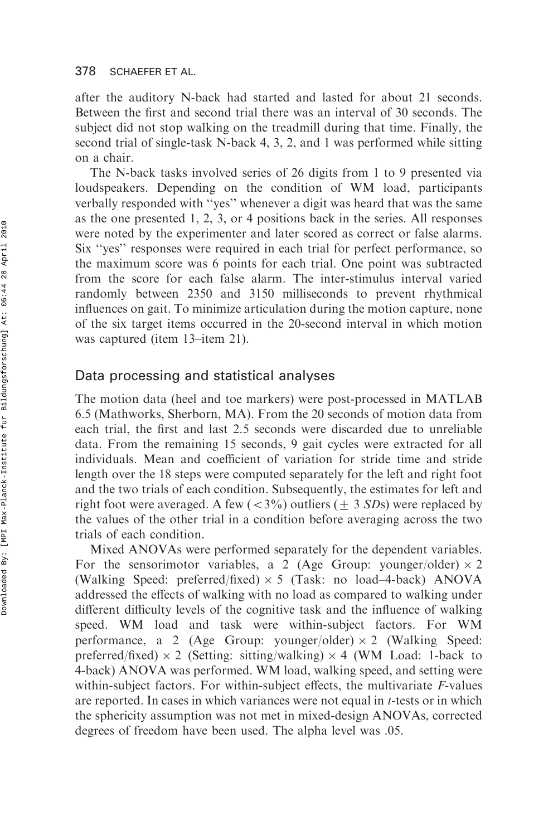after the auditory N-back had started and lasted for about 21 seconds. Between the first and second trial there was an interval of 30 seconds. The subject did not stop walking on the treadmill during that time. Finally, the second trial of single-task N-back 4, 3, 2, and 1 was performed while sitting on a chair.

The N-back tasks involved series of 26 digits from 1 to 9 presented via loudspeakers. Depending on the condition of WM load, participants verbally responded with ''yes'' whenever a digit was heard that was the same as the one presented 1, 2, 3, or 4 positions back in the series. All responses were noted by the experimenter and later scored as correct or false alarms. Six ''yes'' responses were required in each trial for perfect performance, so the maximum score was 6 points for each trial. One point was subtracted from the score for each false alarm. The inter-stimulus interval varied randomly between 2350 and 3150 milliseconds to prevent rhythmical influences on gait. To minimize articulation during the motion capture, none of the six target items occurred in the 20-second interval in which motion was captured (item 13–item 21).

#### Data processing and statistical analyses

The motion data (heel and toe markers) were post-processed in MATLAB 6.5 (Mathworks, Sherborn, MA). From the 20 seconds of motion data from each trial, the first and last 2.5 seconds were discarded due to unreliable data. From the remaining 15 seconds, 9 gait cycles were extracted for all individuals. Mean and coefficient of variation for stride time and stride length over the 18 steps were computed separately for the left and right foot and the two trials of each condition. Subsequently, the estimates for left and right foot were averaged. A few ( $\langle 3\% \rangle$ ) outliers ( $\pm$  3 SDs) were replaced by the values of the other trial in a condition before averaging across the two trials of each condition.

Mixed ANOVAs were performed separately for the dependent variables. For the sensorimotor variables, a 2 (Age Group: younger/older)  $\times$  2 (Walking Speed: preferred/fixed)  $\times$  5 (Task: no load–4-back) ANOVA addressed the effects of walking with no load as compared to walking under different difficulty levels of the cognitive task and the influence of walking speed. WM load and task were within-subject factors. For WM performance, a 2 (Age Group: younger/older)  $\times$  2 (Walking Speed: preferred/fixed)  $\times$  2 (Setting: sitting/walking)  $\times$  4 (WM Load: 1-back to 4-back) ANOVA was performed. WM load, walking speed, and setting were within-subject factors. For within-subject effects, the multivariate F-values are reported. In cases in which variances were not equal in t-tests or in which the sphericity assumption was not met in mixed-design ANOVAs, corrected degrees of freedom have been used. The alpha level was .05.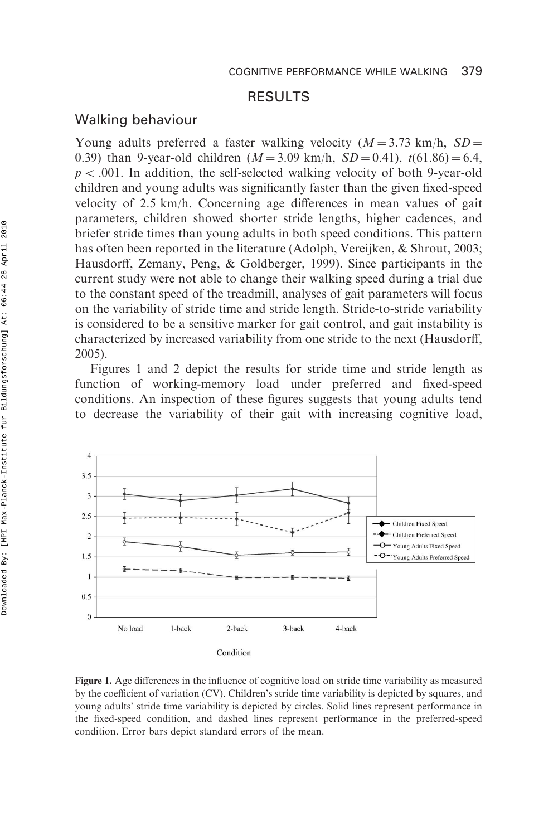# RESULTS

#### Walking behaviour

Young adults preferred a faster walking velocity  $(M = 3.73 \text{ km/h}, SD =$ 0.39) than 9-year-old children  $(M = 3.09 \text{ km/h}, SD = 0.41)$ ,  $t(61.86) = 6.4$ ,  $p<$  0.01. In addition, the self-selected walking velocity of both 9-year-old children and young adults was significantly faster than the given fixed-speed velocity of 2.5 km/h. Concerning age differences in mean values of gait parameters, children showed shorter stride lengths, higher cadences, and briefer stride times than young adults in both speed conditions. This pattern has often been reported in the literature (Adolph, Vereijken, & Shrout, 2003; Hausdorff, Zemany, Peng, & Goldberger, 1999). Since participants in the current study were not able to change their walking speed during a trial due to the constant speed of the treadmill, analyses of gait parameters will focus on the variability of stride time and stride length. Stride-to-stride variability is considered to be a sensitive marker for gait control, and gait instability is characterized by increased variability from one stride to the next (Hausdorff, 2005).

Figures 1 and 2 depict the results for stride time and stride length as function of working-memory load under preferred and fixed-speed conditions. An inspection of these figures suggests that young adults tend to decrease the variability of their gait with increasing cognitive load,



Figure 1. Age differences in the influence of cognitive load on stride time variability as measured by the coefficient of variation (CV). Children's stride time variability is depicted by squares, and young adults' stride time variability is depicted by circles. Solid lines represent performance in the fixed-speed condition, and dashed lines represent performance in the preferred-speed condition. Error bars depict standard errors of the mean.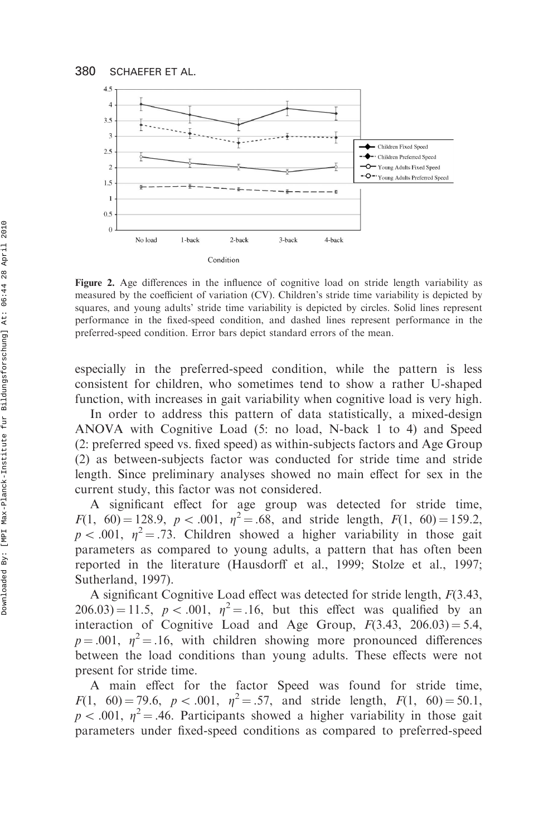

Figure 2. Age differences in the influence of cognitive load on stride length variability as measured by the coefficient of variation (CV). Children's stride time variability is depicted by squares, and young adults' stride time variability is depicted by circles. Solid lines represent performance in the fixed-speed condition, and dashed lines represent performance in the preferred-speed condition. Error bars depict standard errors of the mean.

especially in the preferred-speed condition, while the pattern is less consistent for children, who sometimes tend to show a rather U-shaped function, with increases in gait variability when cognitive load is very high.

In order to address this pattern of data statistically, a mixed-design ANOVA with Cognitive Load (5: no load, N-back 1 to 4) and Speed (2: preferred speed vs. fixed speed) as within-subjects factors and Age Group (2) as between-subjects factor was conducted for stride time and stride length. Since preliminary analyses showed no main effect for sex in the current study, this factor was not considered.

A significant effect for age group was detected for stride time,  $F(1, 60) = 128.9, p < .001, \eta^2 = .68, \text{ and stride length}, F(1, 60) = 159.2,$  $p < .001$ ,  $\eta^2 = .73$ . Children showed a higher variability in those gait parameters as compared to young adults, a pattern that has often been reported in the literature (Hausdorff et al., 1999; Stolze et al., 1997; Sutherland, 1997).

A significant Cognitive Load effect was detected for stride length, F(3.43,  $206.03 = 11.5$ ,  $p < .001$ ,  $n^2 = .16$ , but this effect was qualified by an interaction of Cognitive Load and Age Group,  $F(3.43, 206.03) = 5.4$ ,  $p = .001$ ,  $\eta^2 = .16$ , with children showing more pronounced differences between the load conditions than young adults. These effects were not present for stride time.

A main effect for the factor Speed was found for stride time,  $F(1, 60) = 79.6, p < .001, \eta^2 = .57, \text{ and stride length}, F(1, 60) = 50.1,$  $p<.001$ ,  $\eta^2 = .46$ . Participants showed a higher variability in those gait parameters under fixed-speed conditions as compared to preferred-speed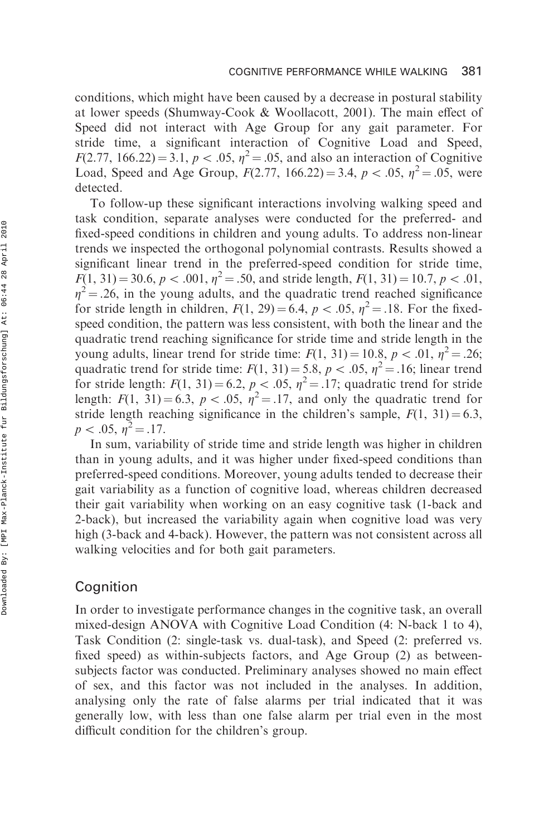conditions, which might have been caused by a decrease in postural stability at lower speeds (Shumway-Cook & Woollacott, 2001). The main effect of Speed did not interact with Age Group for any gait parameter. For stride time, a significant interaction of Cognitive Load and Speed,  $F(2.77, 166.22) = 3.1, p < .05, \eta^2 = .05$ , and also an interaction of Cognitive Load, Speed and Age Group,  $F(2.77, 166.22) = 3.4, p < .05, \eta^2 = .05$ , were detected.

To follow-up these significant interactions involving walking speed and task condition, separate analyses were conducted for the preferred- and fixed-speed conditions in children and young adults. To address non-linear trends we inspected the orthogonal polynomial contrasts. Results showed a significant linear trend in the preferred-speed condition for stride time,  $F(1, 31) = 30.6, p < .001, \eta^2 = .50$ , and stride length,  $F(1, 31) = 10.7, p < .01$ ,  $\eta^2$  = .26, in the young adults, and the quadratic trend reached significance for stride length in children,  $F(1, 29) = 6.4$ ,  $p < .05$ ,  $\eta^2 = .18$ . For the fixedspeed condition, the pattern was less consistent, with both the linear and the quadratic trend reaching significance for stride time and stride length in the young adults, linear trend for stride time:  $F(1, 31) = 10.8$ ,  $p < .01$ ,  $\eta^2 = .26$ ; quadratic trend for stride time:  $F(1, 31) = 5.8$ ,  $p < .05$ ,  $n^2 = .16$ ; linear trend for stride length:  $F(1, 31) = 6.2$ ,  $p < .05$ ,  $\eta^2 = .17$ ; quadratic trend for stride length:  $F(1, 31) = 6.3$ ,  $p < .05$ ,  $\eta^2 = .17$ , and only the quadratic trend for stride length reaching significance in the children's sample,  $F(1, 31) = 6.3$ ,  $p<.05, \eta^2=.17$ .

In sum, variability of stride time and stride length was higher in children than in young adults, and it was higher under fixed-speed conditions than preferred-speed conditions. Moreover, young adults tended to decrease their gait variability as a function of cognitive load, whereas children decreased their gait variability when working on an easy cognitive task (1-back and 2-back), but increased the variability again when cognitive load was very high (3-back and 4-back). However, the pattern was not consistent across all walking velocities and for both gait parameters.

#### Cognition

In order to investigate performance changes in the cognitive task, an overall mixed-design ANOVA with Cognitive Load Condition (4: N-back 1 to 4), Task Condition (2: single-task vs. dual-task), and Speed (2: preferred vs. fixed speed) as within-subjects factors, and Age Group (2) as betweensubjects factor was conducted. Preliminary analyses showed no main effect of sex, and this factor was not included in the analyses. In addition, analysing only the rate of false alarms per trial indicated that it was generally low, with less than one false alarm per trial even in the most difficult condition for the children's group.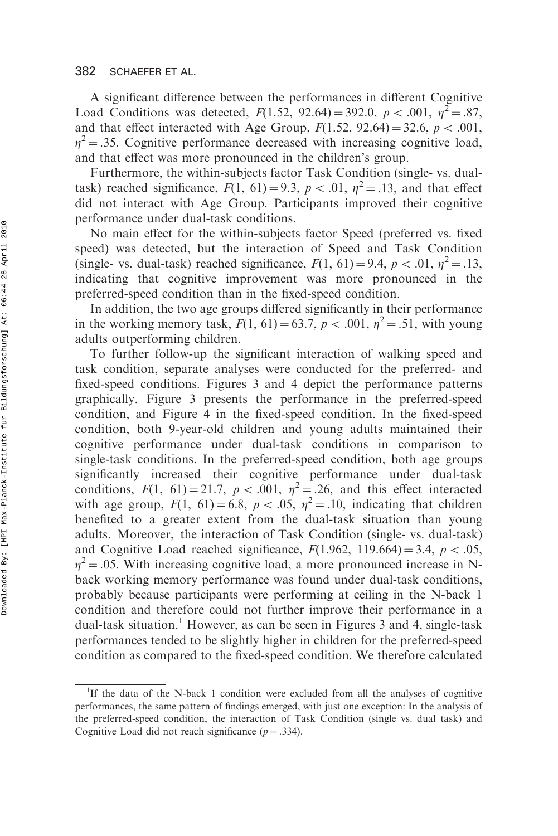A significant difference between the performances in different Cognitive Load Conditions was detected,  $F(1.52, 92.64) = 392.0, p < .001, \eta^2 = .87,$ and that effect interacted with Age Group,  $F(1.52, 92.64) = 32.6, p < .001$ ,  $\eta^2$  = .35. Cognitive performance decreased with increasing cognitive load, and that effect was more pronounced in the children's group.

Furthermore, the within-subjects factor Task Condition (single- vs. dualtask) reached significance,  $F(1, 61) = 9.3$ ,  $p < .01$ ,  $\eta^2 = .13$ , and that effect did not interact with Age Group. Participants improved their cognitive performance under dual-task conditions.

No main effect for the within-subjects factor Speed (preferred vs. fixed speed) was detected, but the interaction of Speed and Task Condition (single- vs. dual-task) reached significance,  $F(1, 61) = 9.4$ ,  $p < .01$ ,  $p^2 = .13$ , indicating that cognitive improvement was more pronounced in the preferred-speed condition than in the fixed-speed condition.

In addition, the two age groups differed significantly in their performance in the working memory task,  $F(1, 61) = 63.7$ ,  $p < .001$ ,  $\eta^2 = .51$ , with young adults outperforming children.

To further follow-up the significant interaction of walking speed and task condition, separate analyses were conducted for the preferred- and fixed-speed conditions. Figures 3 and 4 depict the performance patterns graphically. Figure 3 presents the performance in the preferred-speed condition, and Figure 4 in the fixed-speed condition. In the fixed-speed condition, both 9-year-old children and young adults maintained their cognitive performance under dual-task conditions in comparison to single-task conditions. In the preferred-speed condition, both age groups significantly increased their cognitive performance under dual-task conditions,  $F(1, 61) = 21.7$ ,  $p < .001$ ,  $\eta^2 = .26$ , and this effect interacted with age group,  $F(1, 61) = 6.8$ ,  $p < .05$ ,  $\eta^2 = .10$ , indicating that children benefited to a greater extent from the dual-task situation than young adults. Moreover, the interaction of Task Condition (single- vs. dual-task) and Cognitive Load reached significance,  $F(1.962, 119.664) = 3.4$ ,  $p < .05$ ,  $\eta^2$  = .05. With increasing cognitive load, a more pronounced increase in Nback working memory performance was found under dual-task conditions, probably because participants were performing at ceiling in the N-back 1 condition and therefore could not further improve their performance in a dual-task situation.<sup>1</sup> However, as can be seen in Figures 3 and 4, single-task performances tended to be slightly higher in children for the preferred-speed condition as compared to the fixed-speed condition. We therefore calculated

<sup>&</sup>lt;sup>1</sup>If the data of the N-back 1 condition were excluded from all the analyses of cognitive performances, the same pattern of findings emerged, with just one exception: In the analysis of the preferred-speed condition, the interaction of Task Condition (single vs. dual task) and Cognitive Load did not reach significance ( $p = .334$ ).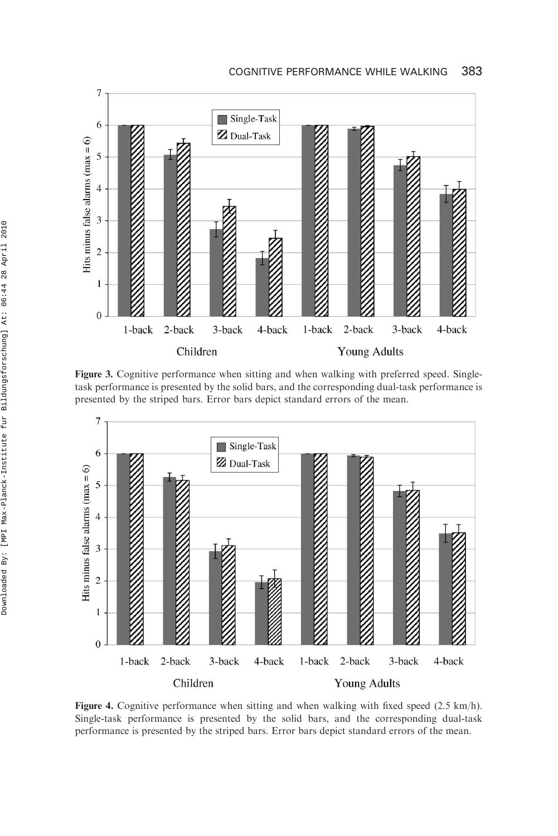

Figure 3. Cognitive performance when sitting and when walking with preferred speed. Singletask performance is presented by the solid bars, and the corresponding dual-task performance is presented by the striped bars. Error bars depict standard errors of the mean.



Figure 4. Cognitive performance when sitting and when walking with fixed speed (2.5 km/h). Single-task performance is presented by the solid bars, and the corresponding dual-task performance is presented by the striped bars. Error bars depict standard errors of the mean.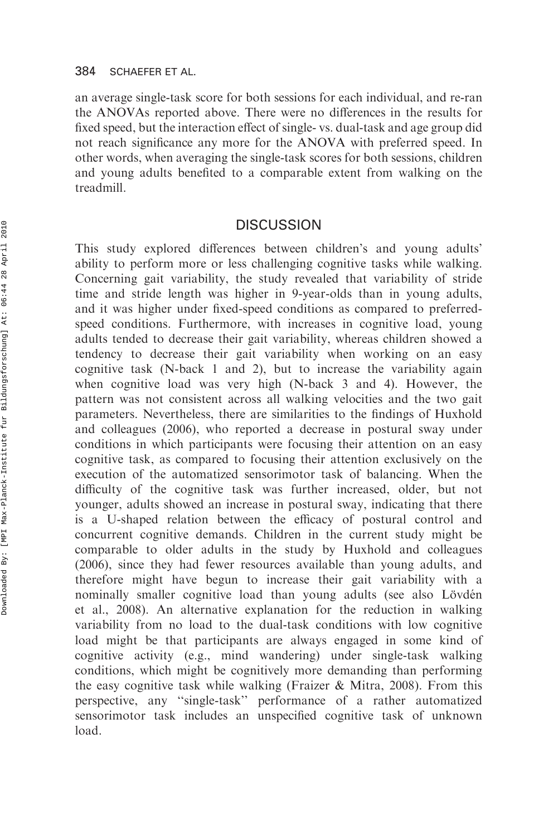an average single-task score for both sessions for each individual, and re-ran the ANOVAs reported above. There were no differences in the results for fixed speed, but the interaction effect of single- vs. dual-task and age group did not reach significance any more for the ANOVA with preferred speed. In other words, when averaging the single-task scores for both sessions, children and young adults benefited to a comparable extent from walking on the treadmill.

## **DISCUSSION**

This study explored differences between children's and young adults' ability to perform more or less challenging cognitive tasks while walking. Concerning gait variability, the study revealed that variability of stride time and stride length was higher in 9-year-olds than in young adults, and it was higher under fixed-speed conditions as compared to preferredspeed conditions. Furthermore, with increases in cognitive load, young adults tended to decrease their gait variability, whereas children showed a tendency to decrease their gait variability when working on an easy cognitive task (N-back 1 and 2), but to increase the variability again when cognitive load was very high (N-back 3 and 4). However, the pattern was not consistent across all walking velocities and the two gait parameters. Nevertheless, there are similarities to the findings of Huxhold and colleagues (2006), who reported a decrease in postural sway under conditions in which participants were focusing their attention on an easy cognitive task, as compared to focusing their attention exclusively on the execution of the automatized sensorimotor task of balancing. When the difficulty of the cognitive task was further increased, older, but not younger, adults showed an increase in postural sway, indicating that there is a U-shaped relation between the efficacy of postural control and concurrent cognitive demands. Children in the current study might be comparable to older adults in the study by Huxhold and colleagues (2006), since they had fewer resources available than young adults, and therefore might have begun to increase their gait variability with a nominally smaller cognitive load than young adults (see also Lövdén et al., 2008). An alternative explanation for the reduction in walking variability from no load to the dual-task conditions with low cognitive load might be that participants are always engaged in some kind of cognitive activity (e.g., mind wandering) under single-task walking conditions, which might be cognitively more demanding than performing the easy cognitive task while walking (Fraizer  $\&$  Mitra, 2008). From this perspective, any ''single-task'' performance of a rather automatized sensorimotor task includes an unspecified cognitive task of unknown load.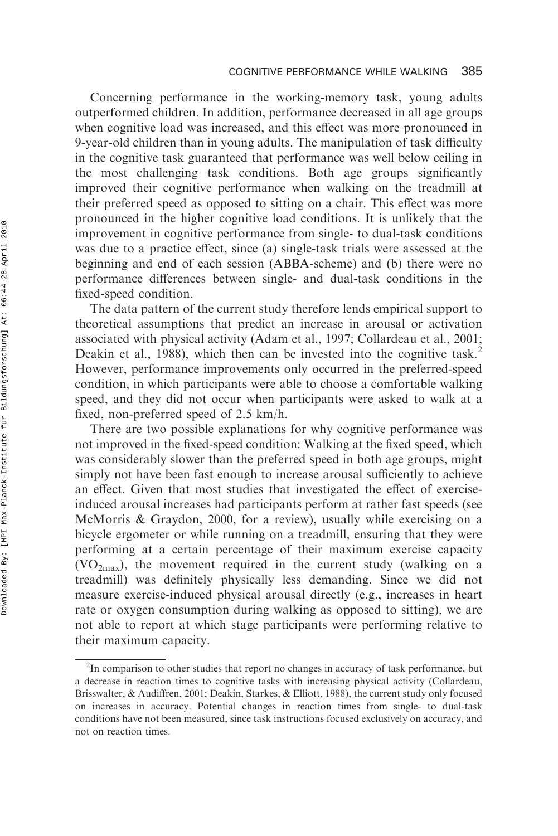Concerning performance in the working-memory task, young adults outperformed children. In addition, performance decreased in all age groups when cognitive load was increased, and this effect was more pronounced in 9-year-old children than in young adults. The manipulation of task difficulty in the cognitive task guaranteed that performance was well below ceiling in the most challenging task conditions. Both age groups significantly improved their cognitive performance when walking on the treadmill at their preferred speed as opposed to sitting on a chair. This effect was more pronounced in the higher cognitive load conditions. It is unlikely that the improvement in cognitive performance from single- to dual-task conditions was due to a practice effect, since (a) single-task trials were assessed at the beginning and end of each session (ABBA-scheme) and (b) there were no performance differences between single- and dual-task conditions in the fixed-speed condition.

The data pattern of the current study therefore lends empirical support to theoretical assumptions that predict an increase in arousal or activation associated with physical activity (Adam et al., 1997; Collardeau et al., 2001; Deakin et al., 1988), which then can be invested into the cognitive task.<sup>2</sup> However, performance improvements only occurred in the preferred-speed condition, in which participants were able to choose a comfortable walking speed, and they did not occur when participants were asked to walk at a fixed, non-preferred speed of 2.5 km/h.

There are two possible explanations for why cognitive performance was not improved in the fixed-speed condition: Walking at the fixed speed, which was considerably slower than the preferred speed in both age groups, might simply not have been fast enough to increase arousal sufficiently to achieve an effect. Given that most studies that investigated the effect of exerciseinduced arousal increases had participants perform at rather fast speeds (see McMorris & Graydon, 2000, for a review), usually while exercising on a bicycle ergometer or while running on a treadmill, ensuring that they were performing at a certain percentage of their maximum exercise capacity  $(VO<sub>2max</sub>)$ , the movement required in the current study (walking on a treadmill) was definitely physically less demanding. Since we did not measure exercise-induced physical arousal directly (e.g., increases in heart rate or oxygen consumption during walking as opposed to sitting), we are not able to report at which stage participants were performing relative to their maximum capacity.

 $2$ In comparison to other studies that report no changes in accuracy of task performance, but a decrease in reaction times to cognitive tasks with increasing physical activity (Collardeau, Brisswalter, & Audiffren, 2001; Deakin, Starkes, & Elliott, 1988), the current study only focused on increases in accuracy. Potential changes in reaction times from single- to dual-task conditions have not been measured, since task instructions focused exclusively on accuracy, and not on reaction times.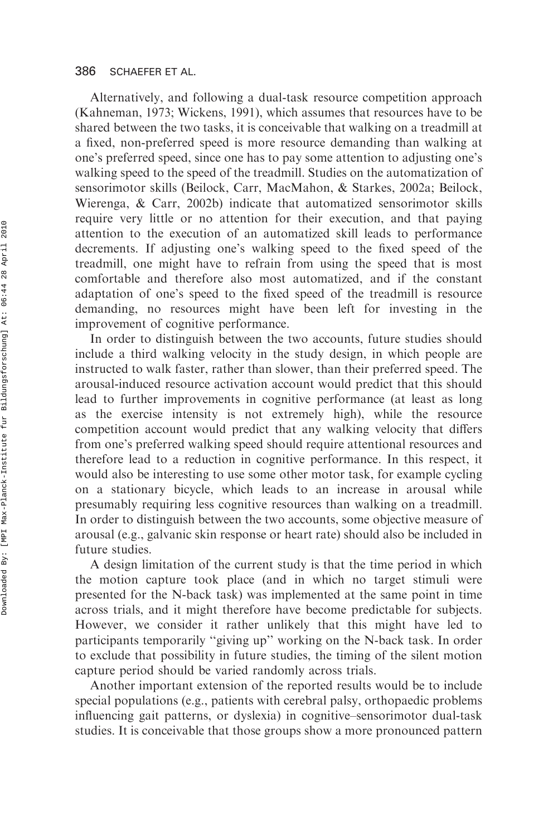#### 386 SCHAEFER ET AL.

Alternatively, and following a dual-task resource competition approach (Kahneman, 1973; Wickens, 1991), which assumes that resources have to be shared between the two tasks, it is conceivable that walking on a treadmill at a fixed, non-preferred speed is more resource demanding than walking at one's preferred speed, since one has to pay some attention to adjusting one's walking speed to the speed of the treadmill. Studies on the automatization of sensorimotor skills (Beilock, Carr, MacMahon, & Starkes, 2002a; Beilock, Wierenga, & Carr, 2002b) indicate that automatized sensorimotor skills require very little or no attention for their execution, and that paying attention to the execution of an automatized skill leads to performance decrements. If adjusting one's walking speed to the fixed speed of the treadmill, one might have to refrain from using the speed that is most comfortable and therefore also most automatized, and if the constant adaptation of one's speed to the fixed speed of the treadmill is resource demanding, no resources might have been left for investing in the improvement of cognitive performance.

In order to distinguish between the two accounts, future studies should include a third walking velocity in the study design, in which people are instructed to walk faster, rather than slower, than their preferred speed. The arousal-induced resource activation account would predict that this should lead to further improvements in cognitive performance (at least as long as the exercise intensity is not extremely high), while the resource competition account would predict that any walking velocity that differs from one's preferred walking speed should require attentional resources and therefore lead to a reduction in cognitive performance. In this respect, it would also be interesting to use some other motor task, for example cycling on a stationary bicycle, which leads to an increase in arousal while presumably requiring less cognitive resources than walking on a treadmill. In order to distinguish between the two accounts, some objective measure of arousal (e.g., galvanic skin response or heart rate) should also be included in future studies.

A design limitation of the current study is that the time period in which the motion capture took place (and in which no target stimuli were presented for the N-back task) was implemented at the same point in time across trials, and it might therefore have become predictable for subjects. However, we consider it rather unlikely that this might have led to participants temporarily "giving up" working on the N-back task. In order to exclude that possibility in future studies, the timing of the silent motion capture period should be varied randomly across trials.

Another important extension of the reported results would be to include special populations (e.g., patients with cerebral palsy, orthopaedic problems influencing gait patterns, or dyslexia) in cognitive–sensorimotor dual-task studies. It is conceivable that those groups show a more pronounced pattern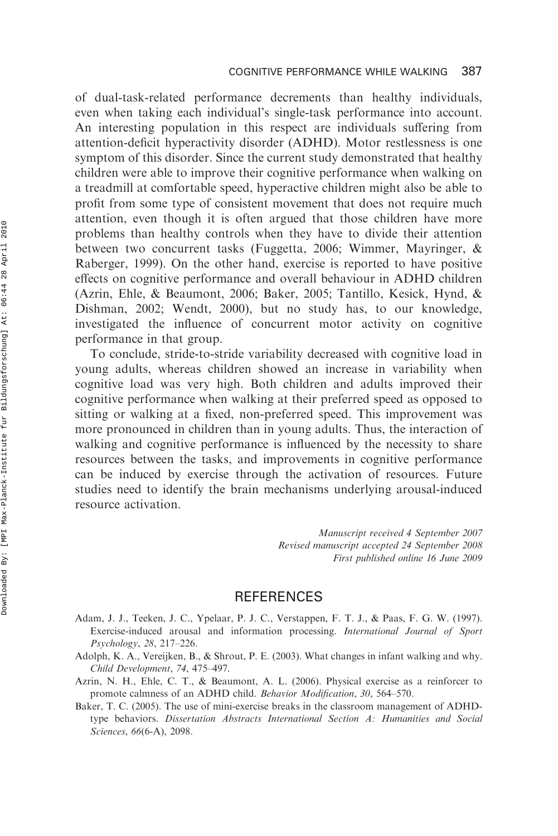of dual-task-related performance decrements than healthy individuals, even when taking each individual's single-task performance into account. An interesting population in this respect are individuals suffering from attention-deficit hyperactivity disorder (ADHD). Motor restlessness is one symptom of this disorder. Since the current study demonstrated that healthy children were able to improve their cognitive performance when walking on a treadmill at comfortable speed, hyperactive children might also be able to profit from some type of consistent movement that does not require much attention, even though it is often argued that those children have more problems than healthy controls when they have to divide their attention between two concurrent tasks (Fuggetta, 2006; Wimmer, Mayringer, & Raberger, 1999). On the other hand, exercise is reported to have positive effects on cognitive performance and overall behaviour in ADHD children (Azrin, Ehle, & Beaumont, 2006; Baker, 2005; Tantillo, Kesick, Hynd, & Dishman, 2002; Wendt, 2000), but no study has, to our knowledge, investigated the influence of concurrent motor activity on cognitive performance in that group.

To conclude, stride-to-stride variability decreased with cognitive load in young adults, whereas children showed an increase in variability when cognitive load was very high. Both children and adults improved their cognitive performance when walking at their preferred speed as opposed to sitting or walking at a fixed, non-preferred speed. This improvement was more pronounced in children than in young adults. Thus, the interaction of walking and cognitive performance is influenced by the necessity to share resources between the tasks, and improvements in cognitive performance can be induced by exercise through the activation of resources. Future studies need to identify the brain mechanisms underlying arousal-induced resource activation.

> Manuscript received 4 September 2007 Revised manuscript accepted 24 September 2008 First published online 16 June 2009

## **REFERENCES**

- Adam, J. J., Teeken, J. C., Ypelaar, P. J. C., Verstappen, F. T. J., & Paas, F. G. W. (1997). Exercise-induced arousal and information processing. International Journal of Sport Psychology, 28, 217–226.
- Adolph, K. A., Vereijken, B., & Shrout, P. E. (2003). What changes in infant walking and why. Child Development, 74, 475–497.
- Azrin, N. H., Ehle, C. T., & Beaumont, A. L. (2006). Physical exercise as a reinforcer to promote calmness of an ADHD child. Behavior Modification, 30, 564–570.
- Baker, T. C. (2005). The use of mini-exercise breaks in the classroom management of ADHDtype behaviors. Dissertation Abstracts International Section A: Humanities and Social Sciences, 66(6-A), 2098.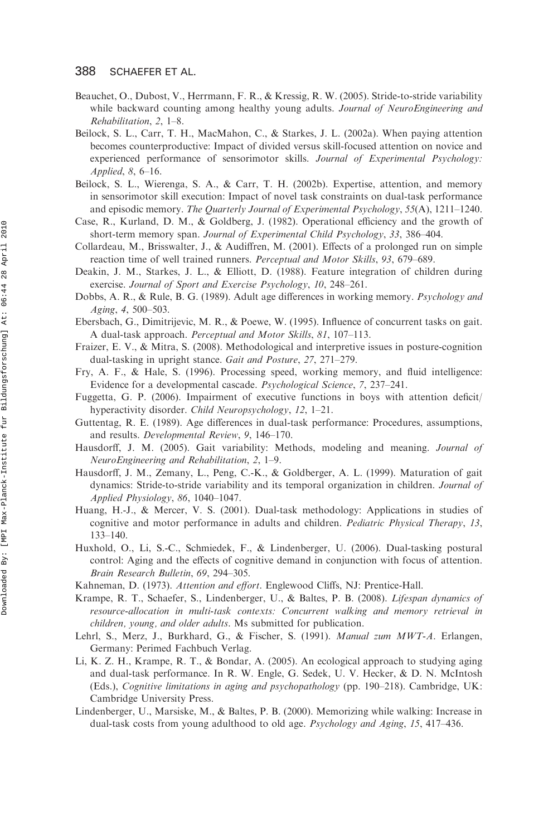- Beauchet, O., Dubost, V., Herrmann, F. R., & Kressig, R. W. (2005). Stride-to-stride variability while backward counting among healthy young adults. Journal of NeuroEngineering and Rehabilitation, 2, 1–8.
- Beilock, S. L., Carr, T. H., MacMahon, C., & Starkes, J. L. (2002a). When paying attention becomes counterproductive: Impact of divided versus skill-focused attention on novice and experienced performance of sensorimotor skills. Journal of Experimental Psychology: Applied, 8, 6–16.
- Beilock, S. L., Wierenga, S. A., & Carr, T. H. (2002b). Expertise, attention, and memory in sensorimotor skill execution: Impact of novel task constraints on dual-task performance and episodic memory. The Quarterly Journal of Experimental Psychology, 55(A), 1211-1240.
- Case, R., Kurland, D. M., & Goldberg, J. (1982). Operational efficiency and the growth of short-term memory span. Journal of Experimental Child Psychology, 33, 386–404.
- Collardeau, M., Brisswalter, J., & Audiffren, M. (2001). Effects of a prolonged run on simple reaction time of well trained runners. Perceptual and Motor Skills, 93, 679–689.
- Deakin, J. M., Starkes, J. L., & Elliott, D. (1988). Feature integration of children during exercise. Journal of Sport and Exercise Psychology, 10, 248–261.
- Dobbs, A. R., & Rule, B. G. (1989). Adult age differences in working memory. *Psychology and* Aging, 4, 500–503.
- Ebersbach, G., Dimitrijevic, M. R., & Poewe, W. (1995). Influence of concurrent tasks on gait. A dual-task approach. Perceptual and Motor Skills, 81, 107–113.
- Fraizer, E. V., & Mitra, S. (2008). Methodological and interpretive issues in posture-cognition dual-tasking in upright stance. Gait and Posture, 27, 271–279.
- Fry, A. F., & Hale, S. (1996). Processing speed, working memory, and fluid intelligence: Evidence for a developmental cascade. Psychological Science, 7, 237–241.
- Fuggetta, G. P. (2006). Impairment of executive functions in boys with attention deficit/ hyperactivity disorder. Child Neuropsychology, 12, 1–21.
- Guttentag, R. E. (1989). Age differences in dual-task performance: Procedures, assumptions, and results. Developmental Review, 9, 146–170.
- Hausdorff, J. M. (2005). Gait variability: Methods, modeling and meaning. Journal of NeuroEngineering and Rehabilitation, 2, 1–9.
- Hausdorff, J. M., Zemany, L., Peng, C.-K., & Goldberger, A. L. (1999). Maturation of gait dynamics: Stride-to-stride variability and its temporal organization in children. Journal of Applied Physiology, 86, 1040–1047.
- Huang, H.-J., & Mercer, V. S. (2001). Dual-task methodology: Applications in studies of cognitive and motor performance in adults and children. Pediatric Physical Therapy, 13, 133–140.
- Huxhold, O., Li, S.-C., Schmiedek, F., & Lindenberger, U. (2006). Dual-tasking postural control: Aging and the effects of cognitive demand in conjunction with focus of attention. Brain Research Bulletin, 69, 294–305.
- Kahneman, D. (1973). Attention and effort. Englewood Cliffs, NJ: Prentice-Hall.
- Krampe, R. T., Schaefer, S., Lindenberger, U., & Baltes, P. B. (2008). Lifespan dynamics of resource-allocation in multi-task contexts: Concurrent walking and memory retrieval in children, young, and older adults. Ms submitted for publication.
- Lehrl, S., Merz, J., Burkhard, G., & Fischer, S. (1991). Manual zum MWT-A. Erlangen, Germany: Perimed Fachbuch Verlag.
- Li, K. Z. H., Krampe, R. T., & Bondar, A. (2005). An ecological approach to studying aging and dual-task performance. In R. W. Engle, G. Sedek, U. V. Hecker, & D. N. McIntosh (Eds.), Cognitive limitations in aging and psychopathology (pp. 190–218). Cambridge, UK: Cambridge University Press.
- Lindenberger, U., Marsiske, M., & Baltes, P. B. (2000). Memorizing while walking: Increase in dual-task costs from young adulthood to old age. Psychology and Aging, 15, 417–436.